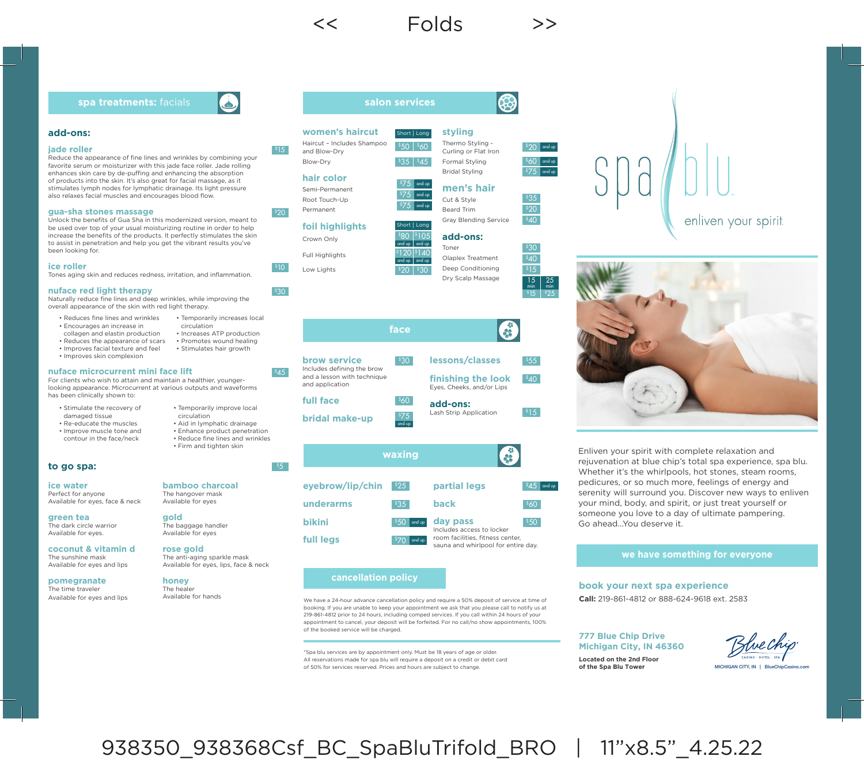## **add-ons:**

### **jade roller**

Reduce the appearance of fine lines and wrinkles by combining your favorite serum or moisturizer with this jade face roller. Jade rolling enhances skin care by de-puffing and enhancing the absorption of products into the skin. It's also great for facial massage, as it stimulates lymph nodes for lymphatic drainage. Its light pressure also relaxes facial muscles and encourages blood flow.

### **gua-sha stones massage**

Unlock the benefits of Gua Sha in this modernized version, meant to be used over top of your usual moisturizing routine in order to help increase the benefits of the products. It perfectly stimulates the skin to assist in penetration and help you get the vibrant results you've been looking for.

### **ice roller**

Tones aging skin and reduces redness, irritation, and inflammation.

### **nuface red light therapy**

Naturally reduce fine lines and deep wrinkles, while improving the overall appearance of the skin with red light therapy.

- Reduces fine lines and wrinkles • Encourages an increase in
- collagen and elastin production
- Reduces the appearance of scars
- Improves facial texture and feel
- Improves skin complexion

### **nuface microcurrent mini face lift**

For clients who wish to attain and maintain a healthier, youngerlooking appearance. Microcurrent at various outputs and waveforms has been clinically shown to:

- Stimulate the recovery of damaged tissue
- Re-educate the muscles • Improve muscle tone and
- contour in the face/neck
- Temporarily improve local circulation
- Aid in lymphatic drainage • Enhance product penetration

• Temporarily increases local

• Increases ATP production • Promotes wound healing • Stimulates hair growth

circulation

- Reduce fine lines and wrinkles
- Firm and tighten skin

### **to go spa:**

**ice water**  Perfect for anyone Available for eyes, face & neck

**green tea**  The dark circle warrior Available for eyes.

**coconut & vitamin d** The sunshine mask Available for eyes and lips

**pomegranate**  The time traveler Available for eyes and lips

### **bamboo charcoal**  The hangover mask

Available for eyes

**gold**  The baggage handler Available for eyes

# **rose gold**

The anti-aging sparkle mask Available for eyes, lips, face & neck

### **honey** The healer

Available for hands





```
hair color
Semi-Permanent
```
Root Touch-Up Permanent

# **foil highlights**

Full Highlights

Crown Only

Low Lights

 $$30$ 

 $$10$ 

 $545$ 

 $55$ 

# and up and up



### C **face lessons/classes**  $$55$  $$30$ **finishing the look**  $$40$ Eyes, Cheeks, and/or Lips **add-ons:** Lash Strip Application

**bridal make-up**



### **cancellation policy**

We have a 24-hour advance cancellation policy and require a 50% deposit of service at time of booking. If you are unable to keep your appointment we ask that you please call to notify us at 219-861-4812 prior to 24 hours, including comped services. If you call within 24 hours of your appointment to cancel, your deposit will be forfeited. For no call/no show appointments, 100% of the booked service will be charged.

\*Spa blu services are by appointment only. Must be 18 years of age or older. All reservations made for spa blu will require a deposit on a credit or debit card of 50% for services reserved. Prices and hours are subject to change.

### **styling** Thermo Styling -

Formal Styling Bridal Styling



 $\sqrt{s_{A}}$ 

15 min 25 min  $|^{5}$  15  $|^{5}$  25

# enliven your spirit.



Enliven your spirit with complete relaxation and rejuvenation at blue chip's total spa experience, spa blu. Whether it's the whirlpools, hot stones, steam rooms, pedicures, or so much more, feelings of energy and serenity will surround you. Discover new ways to enliven your mind, body, and spirit, or just treat yourself or someone you love to a day of ultimate pampering. Go ahead. You deserve it.

### **we have something for everyone**

**book your next spa experience Call:** 219-861-4812 or 888-624-9618 ext. 2583

### **777 Blue Chip Drive Michigan City, IN 46360**



**Located on the 2nd Floor of the Spa Blu Tower**



 $$14$ 

and up and up

 $$50$   $$60$ 

Short | Long

**salon services**

 $|335|$   $|45|$ 

 $575$  and up  $575$  and up

 $575$  and up

Short | Long

 $30^{\circ}$  $$40$  $$15$ 

**brow service** Includes defining the brow

**full face**

and a lesson with technique and application  $\frac{\$75}{\$and up}$